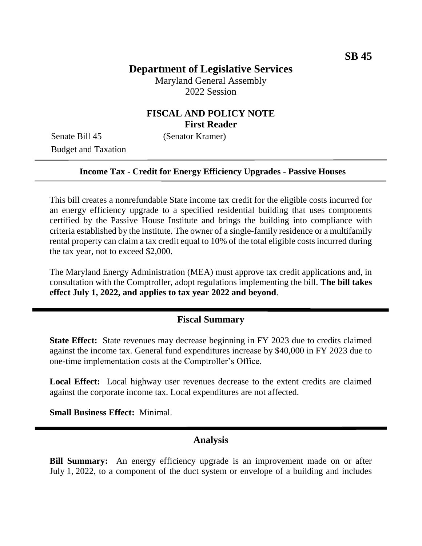# **Department of Legislative Services**

Maryland General Assembly 2022 Session

### **FISCAL AND POLICY NOTE First Reader**

Senate Bill 45 (Senator Kramer) Budget and Taxation

#### **Income Tax - Credit for Energy Efficiency Upgrades - Passive Houses**

This bill creates a nonrefundable State income tax credit for the eligible costs incurred for an energy efficiency upgrade to a specified residential building that uses components certified by the Passive House Institute and brings the building into compliance with criteria established by the institute. The owner of a single-family residence or a multifamily rental property can claim a tax credit equal to 10% of the total eligible costs incurred during the tax year, not to exceed \$2,000.

The Maryland Energy Administration (MEA) must approve tax credit applications and, in consultation with the Comptroller, adopt regulations implementing the bill. **The bill takes effect July 1, 2022, and applies to tax year 2022 and beyond**.

#### **Fiscal Summary**

**State Effect:** State revenues may decrease beginning in FY 2023 due to credits claimed against the income tax. General fund expenditures increase by \$40,000 in FY 2023 due to one-time implementation costs at the Comptroller's Office.

**Local Effect:** Local highway user revenues decrease to the extent credits are claimed against the corporate income tax. Local expenditures are not affected.

**Small Business Effect:** Minimal.

### **Analysis**

**Bill Summary:** An energy efficiency upgrade is an improvement made on or after July 1, 2022, to a component of the duct system or envelope of a building and includes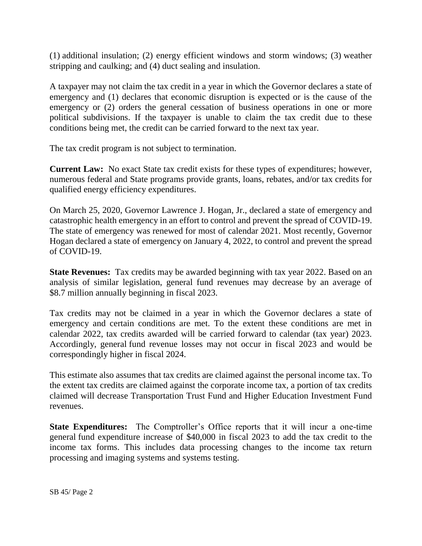(1) additional insulation; (2) energy efficient windows and storm windows; (3) weather stripping and caulking; and (4) duct sealing and insulation.

A taxpayer may not claim the tax credit in a year in which the Governor declares a state of emergency and (1) declares that economic disruption is expected or is the cause of the emergency or (2) orders the general cessation of business operations in one or more political subdivisions. If the taxpayer is unable to claim the tax credit due to these conditions being met, the credit can be carried forward to the next tax year.

The tax credit program is not subject to termination.

**Current Law:** No exact State tax credit exists for these types of expenditures; however, numerous federal and State programs provide grants, loans, rebates, and/or tax credits for qualified energy efficiency expenditures.

On March 25, 2020, Governor Lawrence J. Hogan, Jr., declared a state of emergency and catastrophic health emergency in an effort to control and prevent the spread of COVID-19. The state of emergency was renewed for most of calendar 2021. Most recently, Governor Hogan declared a state of emergency on January 4, 2022, to control and prevent the spread of COVID-19.

**State Revenues:** Tax credits may be awarded beginning with tax year 2022. Based on an analysis of similar legislation, general fund revenues may decrease by an average of \$8.7 million annually beginning in fiscal 2023.

Tax credits may not be claimed in a year in which the Governor declares a state of emergency and certain conditions are met. To the extent these conditions are met in calendar 2022, tax credits awarded will be carried forward to calendar (tax year) 2023. Accordingly, general fund revenue losses may not occur in fiscal 2023 and would be correspondingly higher in fiscal 2024.

This estimate also assumes that tax credits are claimed against the personal income tax. To the extent tax credits are claimed against the corporate income tax, a portion of tax credits claimed will decrease Transportation Trust Fund and Higher Education Investment Fund revenues.

**State Expenditures:** The Comptroller's Office reports that it will incur a one-time general fund expenditure increase of \$40,000 in fiscal 2023 to add the tax credit to the income tax forms. This includes data processing changes to the income tax return processing and imaging systems and systems testing.